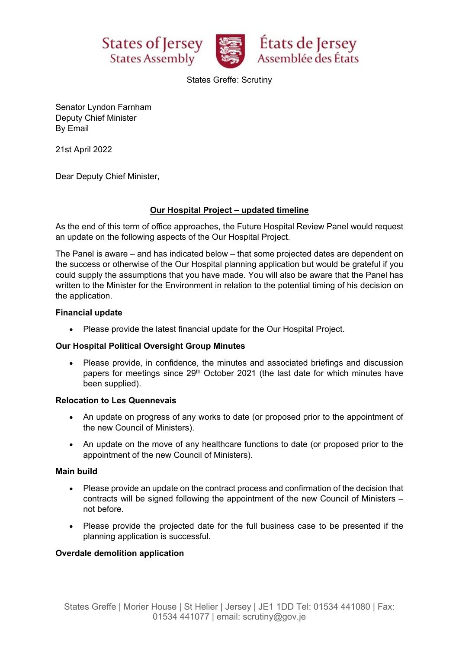





States Greffe: Scrutiny

Senator Lyndon Farnham Deputy Chief Minister By Email

21st April 2022

Dear Deputy Chief Minister,

# **Our Hospital Project – updated timeline**

As the end of this term of office approaches, the Future Hospital Review Panel would request an update on the following aspects of the Our Hospital Project.

The Panel is aware – and has indicated below – that some projected dates are dependent on the success or otherwise of the Our Hospital planning application but would be grateful if you could supply the assumptions that you have made. You will also be aware that the Panel has written to the Minister for the Environment in relation to the potential timing of his decision on the application.

### **Financial update**

• Please provide the latest financial update for the Our Hospital Project.

### **Our Hospital Political Oversight Group Minutes**

• Please provide, in confidence, the minutes and associated briefings and discussion papers for meetings since 29<sup>th</sup> October 2021 (the last date for which minutes have been supplied).

### **Relocation to Les Quennevais**

- An update on progress of any works to date (or proposed prior to the appointment of the new Council of Ministers).
- An update on the move of any healthcare functions to date (or proposed prior to the appointment of the new Council of Ministers).

### **Main build**

- Please provide an update on the contract process and confirmation of the decision that contracts will be signed following the appointment of the new Council of Ministers – not before.
- Please provide the projected date for the full business case to be presented if the planning application is successful.

### **Overdale demolition application**